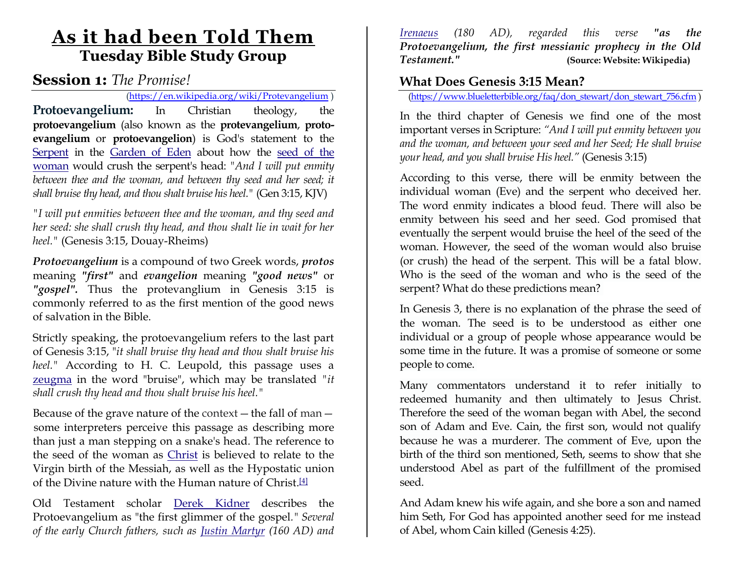# **As it had been Told Them Tuesday Bible Study Group**

## **Session 1:** *The Promise!*

#### [\(https://en.wikipedia.org/wiki/Protevangelium](https://en.wikipedia.org/wiki/Protevangelium) )

**Protoevangelium:** In Christian theology, the **protoevangelium** (also known as the **protevangelium**, **protoevangelium** or **protoevangelion**) is God's statement to the [Serpent](https://en.wikipedia.org/wiki/Serpents_in_the_Bible) in the [Garden of Eden](https://en.wikipedia.org/wiki/Garden_of_Eden) about how the [seed of the](https://en.wikipedia.org/wiki/Seed_of_the_woman)  [woman](https://en.wikipedia.org/wiki/Seed_of_the_woman) would crush the serpent's head: *"And I will put enmity between thee and the woman, and between thy seed and her seed; it shall bruise thy head, and thou shalt bruise his heel."* (Gen 3:15, KJV)

*"I will put enmities between thee and the woman, and thy seed and her seed: she shall crush thy head, and thou shalt lie in wait for her heel."* (Genesis 3:15, Douay-Rheims)

*Protoevangelium* is a compound of two Greek words, *protos* meaning *"first"* and *evangelion* meaning *"good news"* or *"gospel".* Thus the protevanglium in Genesis 3:15 is commonly referred to as the first mention of the good news of salvation in the Bible.

Strictly speaking, the protoevangelium refers to the last part of Genesis 3:15, "*it shall bruise thy head and thou shalt bruise his heel."* According to H. C. Leupold, this passage uses a [zeugma](https://en.wikipedia.org/wiki/Zeugma_and_syllepsis) in the word "bruise", which may be translated *"it shall crush thy head and thou shalt bruise his heel."*

Because of the grave nature of the context  $-$  the fall of man  $$ some interpreters perceive this passage as describing more than just a man stepping on a snake's head. The reference to the seed of the woman as [Christ](https://en.wikipedia.org/wiki/Christ) is believed to relate to the Virgin birth of the Messiah, as well as the Hypostatic union of the Divine nature with the Human nature of Christ. [\[4\]](https://en.wikipedia.org/wiki/Protevangelium#cite_note-auto1-4)

Old Testament scholar [Derek Kidner](https://en.wikipedia.org/wiki/Derek_Kidner) describes the Protoevangelium as "the first glimmer of the gospel*." Several of the early Church fathers, such as [Justin Martyr](https://en.wikipedia.org/wiki/Justin_Martyr) (160 AD) and*

*[Irenaeus](https://en.wikipedia.org/wiki/Irenaeus) (180 AD), regarded this verse "as the Protoevangelium, the first messianic prophecy in the Old Testament."* **(Source: Website: Wikipedia)**

### **What Does Genesis 3:15 Mean?**

[\(https://www.blueletterbible.org/faq/don\\_stewart/don\\_stewart\\_756.cfm](https://www.blueletterbible.org/faq/don_stewart/don_stewart_756.cfm) )

In the third chapter of Genesis we find one of the most important verses in Scripture: *"And I will put enmity between you and the woman, and between your seed and her Seed; He shall bruise your head, and you shall bruise His heel."* (Genesis 3:15)

According to this verse, there will be enmity between the individual woman (Eve) and the serpent who deceived her. The word enmity indicates a blood feud. There will also be enmity between his seed and her seed. God promised that eventually the serpent would bruise the heel of the seed of the woman. However, the seed of the woman would also bruise (or crush) the head of the serpent. This will be a fatal blow. Who is the seed of the woman and who is the seed of the serpent? What do these predictions mean?

In Genesis 3, there is no explanation of the phrase the seed of the woman. The seed is to be understood as either one individual or a group of people whose appearance would be some time in the future. It was a promise of someone or some people to come.

Many commentators understand it to refer initially to redeemed humanity and then ultimately to Jesus Christ. Therefore the seed of the woman began with Abel, the second son of Adam and Eve. Cain, the first son, would not qualify because he was a murderer. The comment of Eve, upon the birth of the third son mentioned, Seth, seems to show that she understood Abel as part of the fulfillment of the promised seed.

And Adam knew his wife again, and she bore a son and named him Seth, For God has appointed another seed for me instead of Abel, whom Cain killed (Genesis 4:25).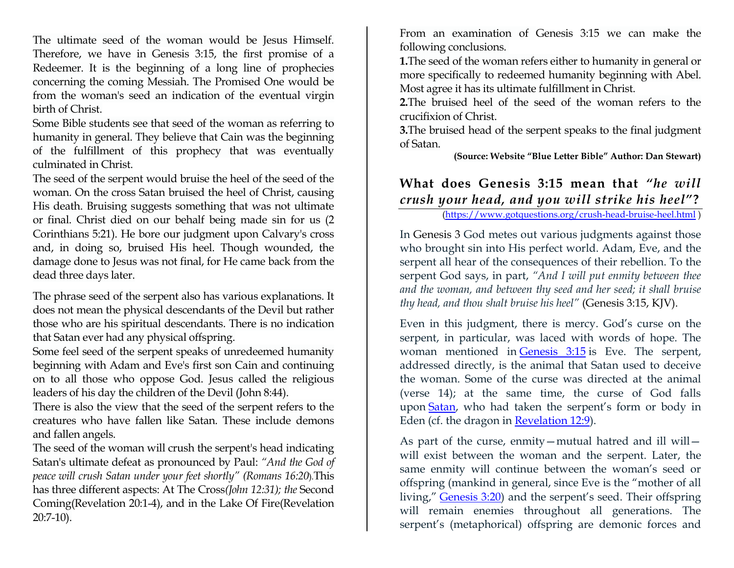The ultimate seed of the woman would be Jesus Himself. Therefore, we have in Genesis 3:15, the first promise of a Redeemer. It is the beginning of a long line of prophecies concerning the coming Messiah. The Promised One would be from the woman's seed an indication of the eventual virgin birth of Christ.

Some Bible students see that seed of the woman as referring to humanity in general. They believe that Cain was the beginning of the fulfillment of this prophecy that was eventually culminated in Christ.

The seed of the serpent would bruise the heel of the seed of the woman. On the cross Satan bruised the heel of Christ, causing His death. Bruising suggests something that was not ultimate or final. Christ died on our behalf being made sin for us [\(2](https://www.blueletterbible.org/kjv/2corinthians/5/21/s_1083021)  [Corinthians 5:21\)](https://www.blueletterbible.org/kjv/2corinthians/5/21/s_1083021). He bore our judgment upon Calvary's cross and, in doing so, bruised His heel. Though wounded, the damage done to Jesus was not final, for He came back from the dead three days later.

The phrase seed of the serpent also has various explanations. It does not mean the physical descendants of the Devil but rather those who are his spiritual descendants. There is no indication that Satan ever had any physical offspring.

Some feel seed of the serpent speaks of unredeemed humanity beginning with Adam and Eve's first son Cain and continuing on to all those who oppose God. Jesus called the religious leaders of his day the children of the Devil (John 8:44).

There is also the view that the seed of the serpent refers to the creatures who have fallen like Satan. These include demons and fallen angels.

The seed of the woman will crush the serpent's head indicating Satan's ultimate defeat as pronounced by Paul: *"And the God of peace will crush Satan under your feet shortly" [\(Romans 16:20](https://www.blueletterbible.org/kjv/romans/16/20/s_1062020)*).This has three different aspects: At The Cross*(John 12:31); the* Second Coming(Revelation 20:1-4), and in the Lake Of Fire(Revelation 20:7-10).

From an examination of Genesis 3:15 we can make the following conclusions.

**1.**The seed of the woman refers either to humanity in general or more specifically to redeemed humanity beginning with Abel. Most agree it has its ultimate fulfillment in Christ.

**2.**The bruised heel of the seed of the woman refers to the crucifixion of Christ.

**3.**The bruised head of the serpent speaks to the final judgment of Satan.

**(Source: Website "Blue Letter Bible" Author: Dan Stewart)**

### **What does Genesis 3:15 mean that** *"he will crush your head, and you will strike his heel"***?**

[\(https://www.gotquestions.org/crush-head-bruise-heel.html](https://www.gotquestions.org/crush-head-bruise-heel.html) )

In Genesis 3 God metes out various judgments against those who brought sin into His perfect world. Adam, Eve, and the serpent all hear of the consequences of their rebellion. To the serpent God says, in part, *"And I will put enmity between thee and the woman, and between thy seed and her seed; it shall bruise thy head, and thou shalt bruise his heel"* [\(Genesis 3:15, KJV\)](https://biblia.com/bible/kjv1900/Gen%203.15).

Even in this judgment, there is mercy. God's curse on the serpent, in particular, was laced with words of hope. The woman mentioned in [Genesis 3:15](https://biblia.com/bible/esv/Gen%203.15) is Eve. The serpent, addressed directly, is the animal that Satan used to deceive the woman. Some of the curse was directed at the animal (verse 14); at the same time, the curse of God falls upon [Satan](https://www.gotquestions.org/Satan-serpent.html), who had taken the serpent's form or body in Eden (cf. the dragon in [Revelation 12:9\)](https://biblia.com/bible/esv/Rev%2012.9).

As part of the curse, enmity—mutual hatred and ill will will exist between the woman and the serpent. Later, the same enmity will continue between the woman's seed or offspring (mankind in general, since Eve is the "mother of all living," [Genesis 3:20](https://biblia.com/bible/esv/Gen%203.20)) and the serpent's seed. Their offspring will remain enemies throughout all generations. The serpent's (metaphorical) offspring are demonic forces and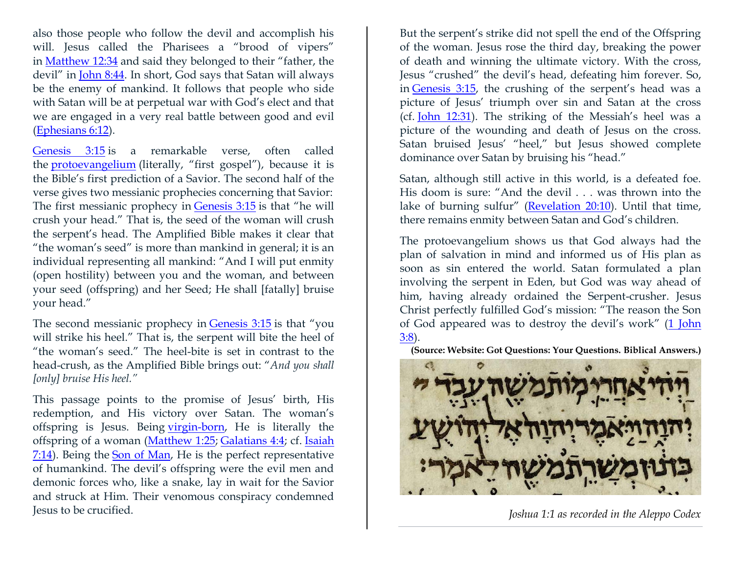also those people who follow the devil and accomplish his will. Jesus called the Pharisees a "brood of vipers" in [Matthew 12:34](https://biblia.com/bible/esv/Matt%2012.34) and said they belonged to their "father, the devil" in [John 8:44.](https://biblia.com/bible/esv/John%208.44) In short, God says that Satan will always be the enemy of mankind. It follows that people who side with Satan will be at perpetual war with God's elect and that we are engaged in a very real battle between good and evil [\(Ephesians 6:12\)](https://biblia.com/bible/esv/Eph%206.12).

[Genesis 3:15](https://biblia.com/bible/esv/Gen%203.15) is a remarkable verse, often called the [protoevangelium](https://www.gotquestions.org/protoevangelium.html) (literally, "first gospel"), because it is the Bible's first prediction of a Savior. The second half of the verse gives two messianic prophecies concerning that Savior: The first messianic prophecy in [Genesis 3:15](https://biblia.com/bible/esv/Gen%203.15) is that "he will crush your head." That is, the seed of the woman will crush the serpent's head. The Amplified Bible makes it clear that "the woman's seed" is more than mankind in general; it is an individual representing all mankind: "And I will put enmity (open hostility) between you and the woman, and between your seed (offspring) and her Seed; He shall [fatally] bruise your head."

The second messianic prophecy in [Genesis 3:15](https://biblia.com/bible/esv/Gen%203.15) is that "you will strike his heel." That is, the serpent will bite the heel of "the woman's seed." The heel-bite is set in contrast to the head-crush, as the Amplified Bible brings out: "*And you shall [only] bruise His heel."*

This passage points to the promise of Jesus' birth, His redemption, and His victory over Satan. The woman's offspring is Jesus. Being [virgin-born,](https://www.gotquestions.org/virgin-birth.html) He is literally the offspring of a woman [\(Matthew 1:25;](https://biblia.com/bible/esv/Matt%201.25) [Galatians 4:4;](https://biblia.com/bible/esv/Gal%204.4) cf. [Isaiah](https://biblia.com/bible/esv/Isa%207.14)  [7:14\)](https://biblia.com/bible/esv/Isa%207.14). Being the [Son of Man,](https://www.gotquestions.org/Jesus-Son-of-Man.html) He is the perfect representative of humankind. The devil's offspring were the evil men and demonic forces who, like a snake, lay in wait for the Savior and struck at Him. Their venomous conspiracy condemned Jesus to be crucified.

But the serpent's strike did not spell the end of the Offspring of the woman. Jesus rose the third day, breaking the power of death and winning the ultimate victory. With the cross, Jesus "crushed" the devil's head, defeating him forever. So, in [Genesis 3:15](https://biblia.com/bible/esv/Gen%203.15), the crushing of the serpent's head was a picture of Jesus' triumph over sin and Satan at the cross (cf. [John 12:31\)](https://biblia.com/bible/esv/John%2012.31). The striking of the Messiah's heel was a picture of the wounding and death of Jesus on the cross. Satan bruised Jesus' "heel," but Jesus showed complete dominance over Satan by bruising his "head."

Satan, although still active in this world, is a defeated foe. His doom is sure: "And the devil . . . was thrown into the lake of burning sulfur" ([Revelation 20:10\)](https://biblia.com/bible/esv/Rev%2020.10). Until that time, there remains enmity between Satan and God's children.

The protoevangelium shows us that God always had the plan of salvation in mind and informed us of His plan as soon as sin entered the world. Satan formulated a plan involving the serpent in Eden, but God was way ahead of him, having already ordained the Serpent-crusher. Jesus Christ perfectly fulfilled God's mission: "The reason the Son of God appeared was to destroy the devil's work" ([1 John](https://biblia.com/bible/esv/1%20John%203.8)  [3:8\)](https://biblia.com/bible/esv/1%20John%203.8).

**(Source: Website: Got Questions: Your Questions. Biblical Answers.)**



*Joshua 1:1 as recorded in the Aleppo Codex*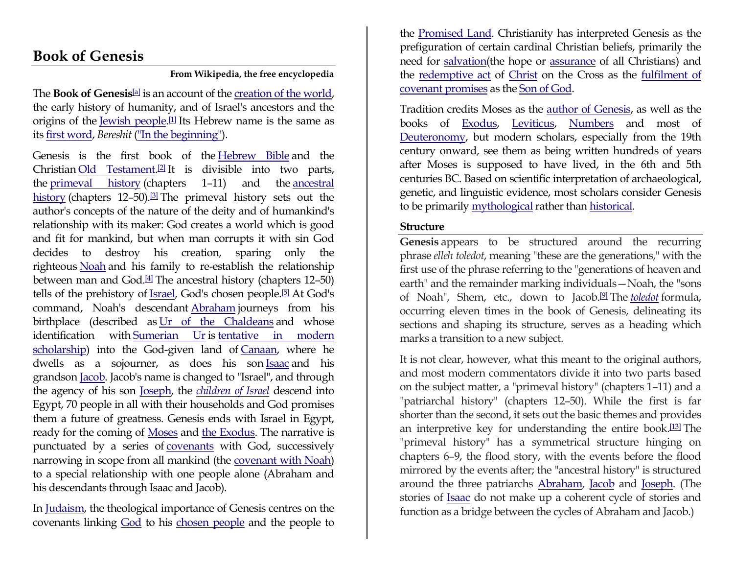## **Book of Genesis**

#### **From Wikipedia, the free encyclopedia**

The **Book of Genesis**<sup>[\[a\]](https://en.wikipedia.org/wiki/Book_of_Genesis#cite_note-1)</sup> is an account of the [creation of the world,](https://en.wikipedia.org/wiki/Genesis_creation_narrative) the early history of humanity, and of Israel's ancestors and the origins of the <u>Jewish people</u>.<sup>[\[1\]](https://en.wikipedia.org/wiki/Book_of_Genesis#cite_note-FOOTNOTESweeney2012657-2)</sup> Its Hebrew name is the same as its [first word,](https://en.wikipedia.org/wiki/Incipit) *Bereshit* [\("In the beginning"\)](https://en.wikipedia.org/wiki/In_the_beginning_(phrase)).

Genesis is the first book of the [Hebrew Bible](https://en.wikipedia.org/wiki/Hebrew_Bible) and the Christian [Old Testament.](https://en.wikipedia.org/wiki/Old_Testament)<sup>[\[2\]](https://en.wikipedia.org/wiki/Book_of_Genesis#cite_note-FOOTNOTEHamilton19901-3)</sup> It is divisible into two parts, the [primeval history](https://en.wikipedia.org/wiki/Primeval_history) (chapters 1–11) and the [ancestral](https://en.wikipedia.org/wiki/Patriarchal_age)  [history](https://en.wikipedia.org/wiki/Patriarchal_age) (chapters 12–50).<sup>[\[3\]](https://en.wikipedia.org/wiki/Book_of_Genesis#cite_note-FOOTNOTEBergant2013xii-4)</sup> The primeval history sets out the author's concepts of the nature of the deity and of humankind's relationship with its maker: God creates a world which is good and fit for mankind, but when man corrupts it with sin God decides to destroy his creation, sparing only the righteous [Noah](https://en.wikipedia.org/wiki/Noah) and his family to re-establish the relationship between man and  $God.4$  The ancestral history (chapters 12-50) tells of the prehistory of [Israel,](https://en.wikipedia.org/wiki/Israelites) God's chosen people.[\[5\]](https://en.wikipedia.org/wiki/Book_of_Genesis#cite_note-FOOTNOTEBandstra200878-6) At God's command, Noah's descendant [Abraham](https://en.wikipedia.org/wiki/Abraham) journeys from his birthplace (described as [Ur of the Chaldeans](https://en.wikipedia.org/wiki/Ur_of_the_Chaldees) and whose identification with [Sumerian Ur](https://en.wikipedia.org/wiki/Ur) is [tentative in modern](https://en.wikipedia.org/wiki/Ur#Identification_with_biblical_Ur)  [scholarship\)](https://en.wikipedia.org/wiki/Ur#Identification_with_biblical_Ur) into the God-given land of [Canaan,](https://en.wikipedia.org/wiki/Canaan) where he dwells as a sojourner, as does his son [Isaac](https://en.wikipedia.org/wiki/Isaac) and his grandson [Jacob.](https://en.wikipedia.org/wiki/Jacob) Jacob's name is changed to "Israel", and through the agency of his son [Joseph,](https://en.wikipedia.org/wiki/Joseph_(son_of_Jacob)) the *[children of Israel](https://en.wikipedia.org/wiki/Children_of_Israel)* descend into Egypt, 70 people in all with their households and God promises them a future of greatness. Genesis ends with Israel in Egypt, ready for the coming of [Moses](https://en.wikipedia.org/wiki/Moses) and [the Exodus.](https://en.wikipedia.org/wiki/The_Exodus) The narrative is punctuated by a series of [covenants](https://en.wikipedia.org/wiki/Covenant_(biblical)) with God, successively narrowing in scope from all mankind (the [covenant with Noah\)](https://en.wikipedia.org/wiki/Noahic_Covenant) to a special relationship with one people alone (Abraham and his descendants through Isaac and Jacob).

In [Judaism,](https://en.wikipedia.org/wiki/Judaism) the theological importance of Genesis centres on the covenants linking [God](https://en.wikipedia.org/wiki/God_in_Judaism) to his [chosen people](https://en.wikipedia.org/wiki/Jews_as_the_chosen_people) and the people to

the [Promised Land.](https://en.wikipedia.org/wiki/Promised_Land) Christianity has interpreted Genesis as the prefiguration of certain cardinal Christian beliefs, primarily the need for [salvation\(](https://en.wikipedia.org/wiki/Salvation_in_Christianity)the hope or [assurance](https://en.wikipedia.org/wiki/Assurance_(theology)) of all Christians) and the [redemptive act](https://en.wikipedia.org/wiki/Redeemer_(Christianity)) of [Christ](https://en.wikipedia.org/wiki/Christ) on the Cross as the [fulfilment of](https://en.wikipedia.org/wiki/Supersessionism)  [covenant promises](https://en.wikipedia.org/wiki/Supersessionism) as the [Son of God.](https://en.wikipedia.org/wiki/Son_of_God)

Tradition credits Moses as the author [of Genesis,](https://en.wikipedia.org/wiki/Mosaic_authorship) as well as the books of [Exodus,](https://en.wikipedia.org/wiki/Book_of_Exodus) [Leviticus,](https://en.wikipedia.org/wiki/Book_of_Leviticus) [Numbers](https://en.wikipedia.org/wiki/Book_of_Numbers) and most of [Deuteronomy,](https://en.wikipedia.org/wiki/Book_of_Deuteronomy) but modern scholars, especially from the 19th century onward, see them as being written hundreds of years after Moses is supposed to have lived, in the 6th and 5th centuries BC. Based on scientific interpretation of archaeological, genetic, and linguistic evidence, most scholars consider Genesis to be primarily [mythological](https://en.wikipedia.org/wiki/Mythology) rather than [historical.](https://en.wikipedia.org/wiki/Historicity_of_the_Bible)

#### **Structure**

**Genesis** appears to be structured around the recurring phrase *elleh toledot*, meaning "these are the generations," with the first use of the phrase referring to the "generations of heaven and earth" and the remainder marking individuals—Noah, the "sons of Noah", Shem, etc., down to Jacob. [\[9\]](https://en.wikipedia.org/wiki/Book_of_Genesis#cite_note-10) The *[toledot](https://en.wikipedia.org/wiki/Toledot)* formula, occurring eleven times in the book of Genesis, delineating its sections and shaping its structure, serves as a heading which marks a transition to a new subject.

It is not clear, however, what this meant to the original authors, and most modern commentators divide it into two parts based on the subject matter, a "primeval history" (chapters 1–11) and a "patriarchal history" (chapters 12–50). While the first is far shorter than the second, it sets out the basic themes and provides an interpretive key for understanding the entire book. [\[13\]](https://en.wikipedia.org/wiki/Book_of_Genesis#cite_note-15) The "primeval history" has a symmetrical structure hinging on chapters 6–9, the flood story, with the events before the flood mirrored by the events after; the "ancestral history" is structured around the three patriarchs [Abraham,](https://en.wikipedia.org/wiki/Abraham) [Jacob](https://en.wikipedia.org/wiki/Jacob) and [Joseph.](https://en.wikipedia.org/wiki/Joseph_(Genesis)) (The stories of [Isaac](https://en.wikipedia.org/wiki/Isaac) do not make up a coherent cycle of stories and function as a bridge between the cycles of Abraham and Jacob.)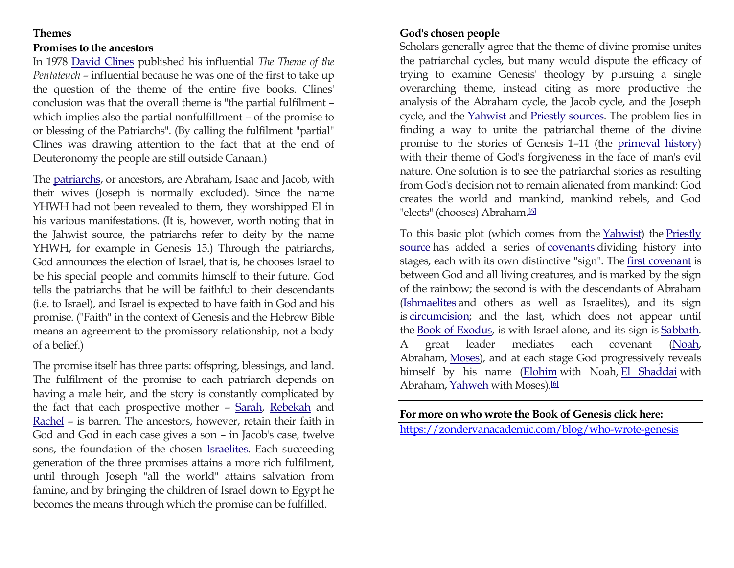#### **Themes**

#### **Promises to the ancestors**

In 1978 [David Clines](https://en.wikipedia.org/wiki/David_Clines) published his influential *The Theme of the Pentateuch* – influential because he was one of the first to take up the question of the theme of the entire five books. Clines' conclusion was that the overall theme is "the partial fulfilment – which implies also the partial nonfulfillment – of the promise to or blessing of the Patriarchs". (By calling the fulfilment "partial" Clines was drawing attention to the fact that at the end of Deuteronomy the people are still outside Canaan.)

The [patriarchs,](https://en.wikipedia.org/wiki/Patriarchs_(Bible)) or ancestors, are Abraham, Isaac and Jacob, with their wives (Joseph is normally excluded). Since the name YHWH had not been revealed to them, they worshipped El in his various manifestations. (It is, however, worth noting that in the Jahwist source, the patriarchs refer to deity by the name YHWH, for example in Genesis 15.) Through the patriarchs, God announces the election of Israel, that is, he chooses Israel to be his special people and commits himself to their future. God tells the patriarchs that he will be faithful to their descendants (i.e. to Israel), and Israel is expected to have faith in God and his promise. ("Faith" in the context of Genesis and the Hebrew Bible means an agreement to the promissory relationship, not a body of a belief.)

The promise itself has three parts: offspring, blessings, and land. The fulfilment of the promise to each patriarch depends on having a male heir, and the story is constantly complicated by the fact that each prospective mother – [Sarah,](https://en.wikipedia.org/wiki/Sarah) [Rebekah](https://en.wikipedia.org/wiki/Rebekah) and [Rachel](https://en.wikipedia.org/wiki/Rachel) – is barren. The ancestors, however, retain their faith in God and God in each case gives a son – in Jacob's case, twelve sons, the foundation of the chosen [Israelites.](https://en.wikipedia.org/wiki/Israelites) Each succeeding generation of the three promises attains a more rich fulfilment, until through Joseph "all the world" attains salvation from famine, and by bringing the children of Israel down to Egypt he becomes the means through which the promise can be fulfilled.

#### **God's chosen people**

Scholars generally agree that the theme of divine promise unites the patriarchal cycles, but many would dispute the efficacy of trying to examine Genesis' theology by pursuing a single overarching theme, instead citing as more productive the analysis of the Abraham cycle, the Jacob cycle, and the Joseph cycle, and the [Yahwist](https://en.wikipedia.org/wiki/Yahwist) and [Priestly sources.](https://en.wikipedia.org/wiki/Priestly_source) The problem lies in finding a way to unite the patriarchal theme of the divine promise to the stories of Genesis 1–11 (the [primeval history\)](https://en.wikipedia.org/wiki/Primeval_history) with their theme of God's forgiveness in the face of man's evil nature. One solution is to see the patriarchal stories as resulting from God's decision not to remain alienated from mankind: God creates the world and mankind, mankind rebels, and God "elects" (chooses) Abraham.<sup>[\[6\]](https://en.wikipedia.org/wiki/Book_of_Genesis#cite_note-Bandstra28-29-7)</sup>

To this basic plot (which comes from the [Yahwist\)](https://en.wikipedia.org/wiki/Yahwist) the [Priestly](https://en.wikipedia.org/wiki/Priestly_source)  [source](https://en.wikipedia.org/wiki/Priestly_source) has added a series of [covenants](https://en.wikipedia.org/wiki/Covenant_(biblical)) dividing history into stages, each with its own distinctive "sign". The [first covenant](https://en.wikipedia.org/wiki/Covenant_(biblical)#Noahic_covenant) is between God and all living creatures, and is marked by the sign of the rainbow; the second is with the descendants of Abraham [\(Ishmaelites](https://en.wikipedia.org/wiki/Ishmaelites) and others as well as Israelites), and its sign is [circumcision;](https://en.wikipedia.org/wiki/Brit_milah) and the last, which does not appear until the [Book of Exodus,](https://en.wikipedia.org/wiki/Book_of_Exodus) is with Israel alone, and its sign is [Sabbath.](https://en.wikipedia.org/wiki/Biblical_Sabbath) A great leader mediates each covenant [\(Noah,](https://en.wikipedia.org/wiki/Noah) Abraham, [Moses\)](https://en.wikipedia.org/wiki/Moses), and at each stage God progressively reveals himself by his name [\(Elohim](https://en.wikipedia.org/wiki/Elohim) with Noah, [El Shaddai](https://en.wikipedia.org/wiki/El_Shaddai) with Abraham, <u>[Yahweh](https://en.wikipedia.org/wiki/Yahweh)</u> with Moses).[\[6\]](https://en.wikipedia.org/wiki/Book_of_Genesis#cite_note-Bandstra28-29-7)

**For more on who wrote the Book of Genesis click here:**

<https://zondervanacademic.com/blog/who-wrote-genesis>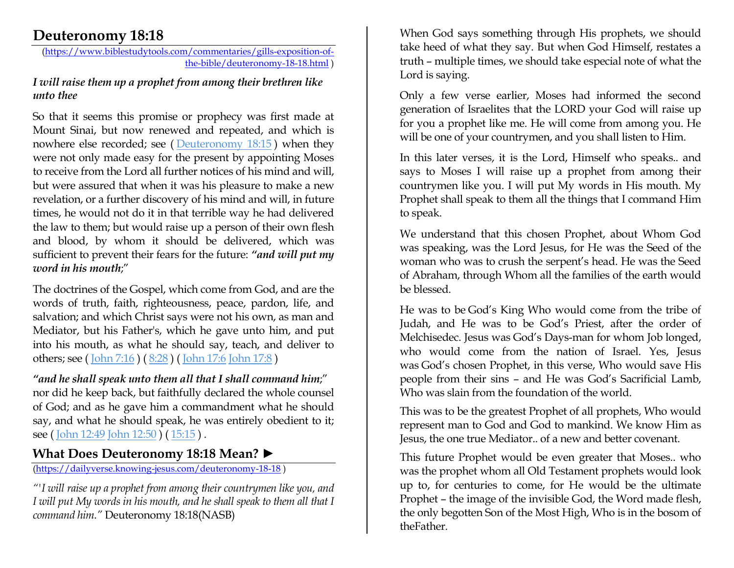## **Deuteronomy 18:18**

[\(https://www.biblestudytools.com/commentaries/gills-exposition-of](https://www.biblestudytools.com/commentaries/gills-exposition-of-the-bible/deuteronomy-18-18.html)[the-bible/deuteronomy-18-18.html](https://www.biblestudytools.com/commentaries/gills-exposition-of-the-bible/deuteronomy-18-18.html) )

#### *I will raise them up a prophet from among their brethren like unto thee*

So that it seems this promise or prophecy was first made at Mount Sinai, but now renewed and repeated, and which is nowhere else recorded; see ( [Deuteronomy 18:15](http://www.biblestudytools.com/deuteronomy/18-15.html) ) when they were not only made easy for the present by appointing Moses to receive from the Lord all further notices of his mind and will, but were assured that when it was his pleasure to make a new revelation, or a further discovery of his mind and will, in future times, he would not do it in that terrible way he had delivered the law to them; but would raise up a person of their own flesh and blood, by whom it should be delivered, which was sufficient to prevent their fears for the future: *"and will put my word in his mouth*;"

The doctrines of the Gospel, which come from God, and are the words of truth, faith, righteousness, peace, pardon, life, and salvation; and which Christ says were not his own, as man and Mediator, but his Father's, which he gave unto him, and put into his mouth, as what he should say, teach, and deliver to others; see ( [John 7:16](http://www.biblestudytools.com/john/7-16.html) ) ( [8:28](http://www.biblestudytools.com/john/8-28.html) ) ( [John 17:6](http://www.biblestudytools.com/john/17-6.html) [John 17:8](http://www.biblestudytools.com/john/17-8.html) )

#### *"and he shall speak unto them all that I shall command him*;" nor did he keep back, but faithfully declared the whole counsel of God; and as he gave him a commandment what he should say, and what he should speak, he was entirely obedient to it; see ( [John 12:49](http://www.biblestudytools.com/john/12-49.html) [John 12:50](http://www.biblestudytools.com/john/12-50.html) ) ( [15:15](http://www.biblestudytools.com/john/15-15.html) ) .

### **What Does Deuteronomy 18:18 Mean? ►**

[\(https://dailyverse.knowing-jesus.com/deuteronomy-18-18](https://dailyverse.knowing-jesus.com/deuteronomy-18-18) )

*"'I will raise up a prophet from among their countrymen like you, and I will put My words in his mouth, and he shall speak to them all that I command him."* Deuteronomy 18:18(NASB)

When God says something through His prophets, we should take heed of what they say. But when God Himself, restates a truth – multiple times, we should take especial note of what the Lord is saying.

Only a few verse earlier, Moses had informed the second generation of Israelites that the LORD your God will raise up for you a prophet like me. He will come from among you. He will be one of your countrymen, and you shall listen to Him.

In this later verses, it is the Lord, Himself who speaks.. and says to Moses I will raise up a prophet from among their countrymen like you. I will put My words in His mouth. My Prophet shall speak to them all the things that I command Him to speak.

We understand that this chosen Prophet, about Whom God was speaking, was the Lord Jesus, for He was the Seed of the woman who was to crush the serpent's head. He was the Seed of Abraham, through Whom all the families of the earth would be blessed.

He was to be God's King Who would come from the tribe of Judah, and He was to be God's Priest, after the order of Melchisedec. Jesus was God's Days-man for whom Job longed, who would come from the nation of Israel. Yes, Jesus was God's chosen Prophet, in this verse, Who would save His people from their sins – and He was God's Sacrificial Lamb, Who was slain from the foundation of the world.

This was to be the greatest Prophet of all prophets, Who would represent man to God and God to mankind. We know Him as Jesus, the one true Mediator.. of a new and better covenant.

This future Prophet would be even greater that Moses.. who was the prophet whom all Old Testament prophets would look up to, for centuries to come, for He would be the ultimate Prophet – the image of the invisible God, the Word made flesh, the only begotten Son of the Most High, Who is in the bosom of theFather.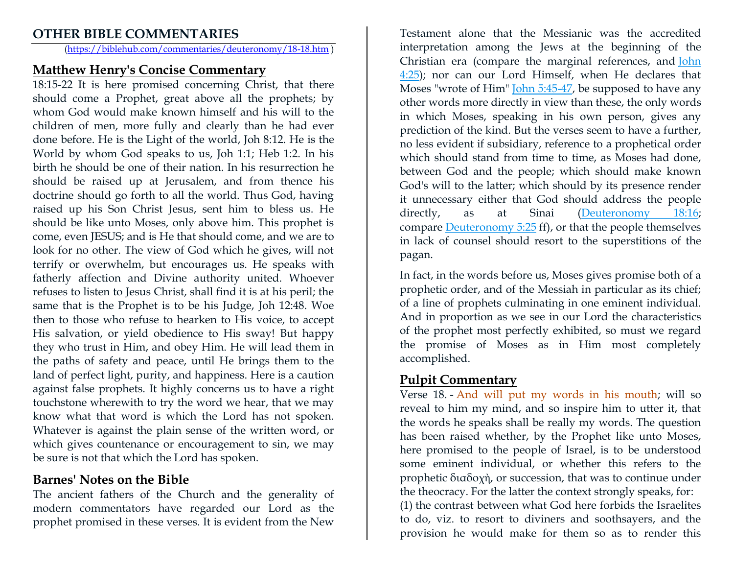### **OTHER BIBLE COMMENTARIES**

[\(https://biblehub.com/commentaries/deuteronomy/18-18.htm](https://biblehub.com/commentaries/deuteronomy/18-18.htm) )

#### **Matthew Henry's Concise Commentary**

18:15-22 It is here promised concerning Christ, that there should come a Prophet, great above all the prophets; by whom God would make known himself and his will to the children of men, more fully and clearly than he had ever done before. He is the Light of the world, Joh 8:12. He is the World by whom God speaks to us, Joh 1:1; Heb 1:2. In his birth he should be one of their nation. In his resurrection he should be raised up at Jerusalem, and from thence his doctrine should go forth to all the world. Thus God, having raised up his Son Christ Jesus, sent him to bless us. He should be like unto Moses, only above him. This prophet is come, even JESUS; and is He that should come, and we are to look for no other. The view of God which he gives, will not terrify or overwhelm, but encourages us. He speaks with fatherly affection and Divine authority united. Whoever refuses to listen to Jesus Christ, shall find it is at his peril; the same that is the Prophet is to be his Judge, Joh 12:48. Woe then to those who refuse to hearken to His voice, to accept His salvation, or yield obedience to His sway! But happy they who trust in Him, and obey Him. He will lead them in the paths of safety and peace, until He brings them to the land of perfect light, purity, and happiness. Here is a caution against false prophets. It highly concerns us to have a right touchstone wherewith to try the word we hear, that we may know what that word is which the Lord has not spoken. Whatever is against the plain sense of the written word, or which gives countenance or encouragement to sin, we may be sure is not that which the Lord has spoken.

### **[Barnes' Notes on the Bible](https://biblehub.com/commentaries/barnes/deuteronomy/18.htm)**

The ancient fathers of the Church and the generality of modern commentators have regarded our Lord as the prophet promised in these verses. It is evident from the New Testament alone that the Messianic was the accredited interpretation among the Jews at the beginning of the Christian era (compare the marginal references, and [John](https://biblehub.com/john/4-25.htm)  [4:25\)](https://biblehub.com/john/4-25.htm); nor can our Lord Himself, when He declares that Moses "wrote of Him" [John 5:45-47,](http://biblehub.com/john/5-45.htm) be supposed to have any other words more directly in view than these, the only words in which Moses, speaking in his own person, gives any prediction of the kind. But the verses seem to have a further, no less evident if subsidiary, reference to a prophetical order which should stand from time to time, as Moses had done, between God and the people; which should make known God's will to the latter; which should by its presence render it unnecessary either that God should address the people directly, as at Sinai [\(Deuteronomy 18:16;](https://biblehub.com/deuteronomy/18-16.htm) compare [Deuteronomy 5:25](https://biblehub.com/deuteronomy/5-25.htm) ff), or that the people themselves in lack of counsel should resort to the superstitions of the pagan.

In fact, in the words before us, Moses gives promise both of a prophetic order, and of the Messiah in particular as its chief; of a line of prophets culminating in one eminent individual. And in proportion as we see in our Lord the characteristics of the prophet most perfectly exhibited, so must we regard the promise of Moses as in Him most completely accomplished.

### **Pulpit Commentary**

Verse 18. - And will put my words in his mouth; will so reveal to him my mind, and so inspire him to utter it, that the words he speaks shall be really my words. The question has been raised whether, by the Prophet like unto Moses, here promised to the people of Israel, is to be understood some eminent individual, or whether this refers to the prophetic διαδοχὴ, or succession, that was to continue under the theocracy. For the latter the context strongly speaks, for: (1) the contrast between what God here forbids the Israelites to do, viz. to resort to diviners and soothsayers, and the provision he would make for them so as to render this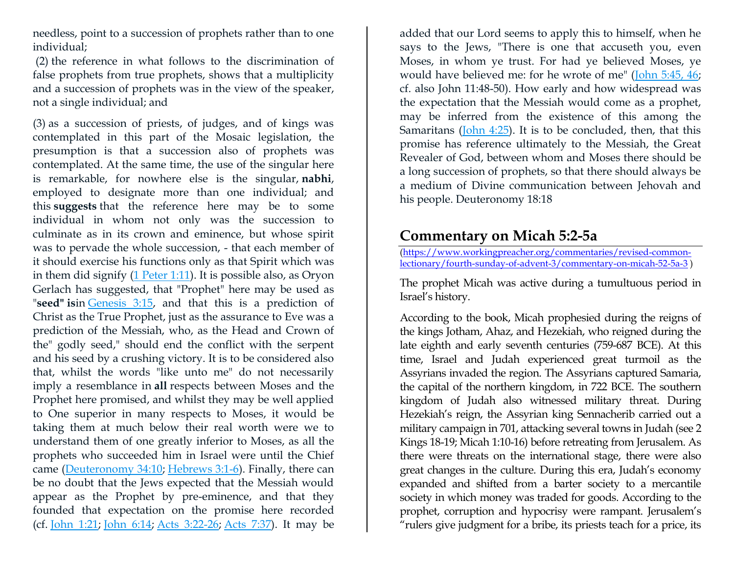needless, point to a succession of prophets rather than to one individual;

(2) the reference in what follows to the discrimination of false prophets from true prophets, shows that a multiplicity and a succession of prophets was in the view of the speaker, not a single individual; and

(3) as a succession of priests, of judges, and of kings was contemplated in this part of the Mosaic legislation, the presumption is that a succession also of prophets was contemplated. At the same time, the use of the singular here is remarkable, for nowhere else is the singular, **nabhi**, employed to designate more than one individual; and this **suggests** that the reference here may be to some individual in whom not only was the succession to culminate as in its crown and eminence, but whose spirit was to pervade the whole succession, - that each member of it should exercise his functions only as that Spirit which was in them did signify [\(1 Peter](https://biblehub.com/1_peter/1-11.htm) 1:11). It is possible also, as Oryon Gerlach has suggested, that "Prophet" here may be used as "**seed" is**in [Genesis 3:15,](https://biblehub.com/genesis/3-15.htm) and that this is a prediction of Christ as the True Prophet, just as the assurance to Eve was a prediction of the Messiah, who, as the Head and Crown of the" godly seed," should end the conflict with the serpent and his seed by a crushing victory. It is to be considered also that, whilst the words "like unto me" do not necessarily imply a resemblance in **all** respects between Moses and the Prophet here promised, and whilst they may be well applied to One superior in many respects to Moses, it would be taking them at much below their real worth were we to understand them of one greatly inferior to Moses, as all the prophets who succeeded him in Israel were until the Chief came [\(Deuteronomy](https://biblehub.com/deuteronomy/34-10.htm) 34:10; [Hebrews 3:1-6\)](https://biblehub.com/hebrews/3-1.htm). Finally, there can be no doubt that the Jews expected that the Messiah would appear as the Prophet by pre-eminence, and that they founded that expectation on the promise here recorded (cf. [John 1:21;](https://biblehub.com/john/1-21.htm) [John 6:14;](https://biblehub.com/john/6-14.htm) [Acts 3:22-26;](https://biblehub.com/acts/3-22.htm) [Acts 7:37\)](https://biblehub.com/acts/7-37.htm). It may be

added that our Lord seems to apply this to himself, when he says to the Jews, "There is one that accuseth you, even Moses, in whom ye trust. For had ye believed Moses, ye would have believed me: for he wrote of me" [\(John 5:45, 46;](https://biblehub.com/john/5-45.htm) cf. also John 11:48-50). How early and how widespread was the expectation that the Messiah would come as a prophet, may be inferred from the existence of this among the Samaritans [\(John 4:25\)](https://biblehub.com/john/4-25.htm). It is to be concluded, then, that this promise has reference ultimately to the Messiah, the Great Revealer of God, between whom and Moses there should be a long succession of prophets, so that there should always be a medium of Divine communication between Jehovah and his people. Deuteronomy 18:18

## **Commentary on Micah 5:2-5a**

[\(https://www.workingpreacher.org/commentaries/revised-common](https://www.workingpreacher.org/commentaries/revised-common-lectionary/fourth-sunday-of-advent-3/commentary-on-micah-52-5a-3)[lectionary/fourth-sunday-of-advent-3/commentary-on-micah-52-5a-3](https://www.workingpreacher.org/commentaries/revised-common-lectionary/fourth-sunday-of-advent-3/commentary-on-micah-52-5a-3) )

The prophet Micah was active during a tumultuous period in Israel's history.

According to the book, Micah prophesied during the reigns of the kings Jotham, Ahaz, and Hezekiah, who reigned during the late eighth and early seventh centuries (759-687 BCE). At this time, Israel and Judah experienced great turmoil as the Assyrians invaded the region. The Assyrians captured Samaria, the capital of the northern kingdom, in 722 BCE. The southern kingdom of Judah also witnessed military threat. During Hezekiah's reign, the Assyrian king Sennacherib carried out a military campaign in 701, attacking several towns in Judah (see 2 Kings 18-19; Micah 1:10-16) before retreating from Jerusalem. As there were threats on the international stage, there were also great changes in the culture. During this era, Judah's economy expanded and shifted from a barter society to a mercantile society in which money was traded for goods. According to the prophet, corruption and hypocrisy were rampant. Jerusalem's "rulers give judgment for a bribe, its priests teach for a price, its